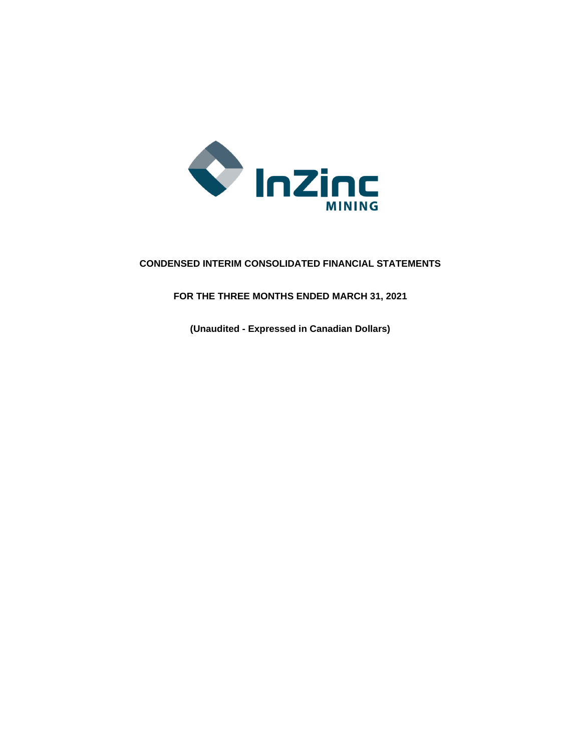

# **CONDENSED INTERIM CONSOLIDATED FINANCIAL STATEMENTS**

**FOR THE THREE MONTHS ENDED MARCH 31, 2021**

**(Unaudited - Expressed in Canadian Dollars)**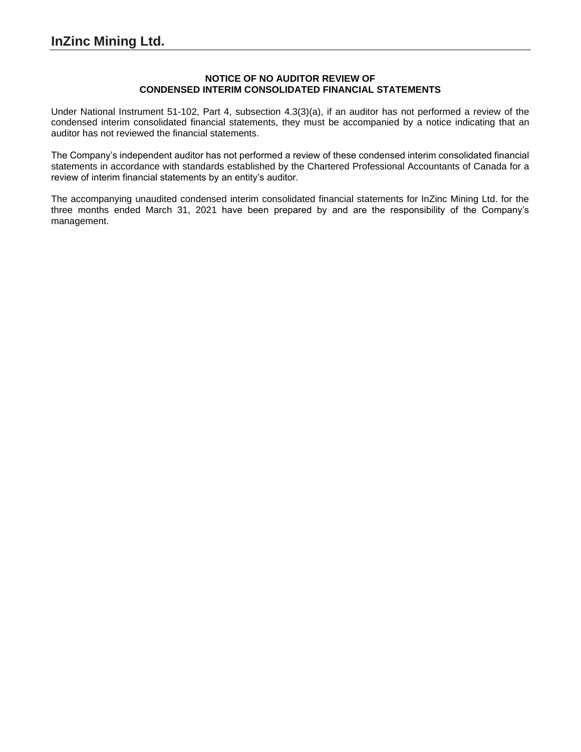### **NOTICE OF NO AUDITOR REVIEW OF CONDENSED INTERIM CONSOLIDATED FINANCIAL STATEMENTS**

Under National Instrument 51-102, Part 4, subsection 4.3(3)(a), if an auditor has not performed a review of the condensed interim consolidated financial statements, they must be accompanied by a notice indicating that an auditor has not reviewed the financial statements.

The Company's independent auditor has not performed a review of these condensed interim consolidated financial statements in accordance with standards established by the Chartered Professional Accountants of Canada for a review of interim financial statements by an entity's auditor.

The accompanying unaudited condensed interim consolidated financial statements for InZinc Mining Ltd. for the three months ended March 31, 2021 have been prepared by and are the responsibility of the Company's management.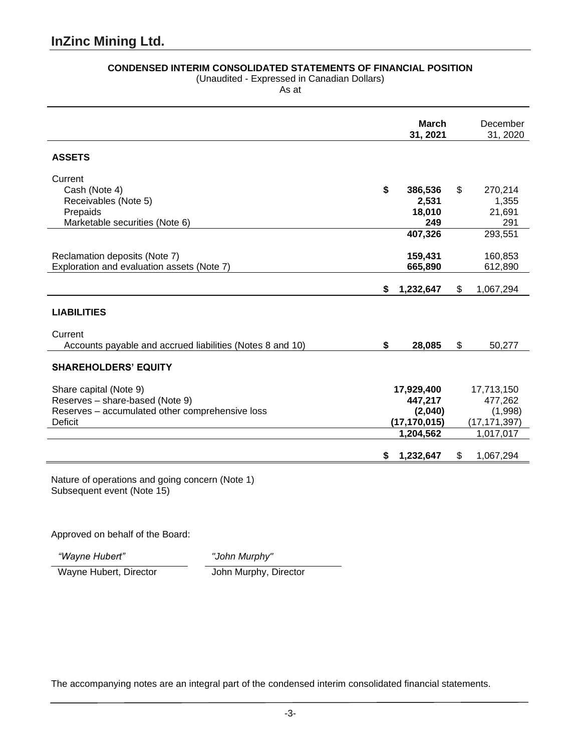## **CONDENSED INTERIM CONSOLIDATED STATEMENTS OF FINANCIAL POSITION**

(Unaudited - Expressed in Canadian Dollars)

As at

|                                                                                                                                |    | <b>March</b><br>31, 2021                                        | December<br>31, 2020                                            |
|--------------------------------------------------------------------------------------------------------------------------------|----|-----------------------------------------------------------------|-----------------------------------------------------------------|
| <b>ASSETS</b>                                                                                                                  |    |                                                                 |                                                                 |
| Current<br>Cash (Note 4)<br>Receivables (Note 5)<br>Prepaids<br>Marketable securities (Note 6)                                 | \$ | 386,536<br>2,531<br>18,010<br>249                               | \$<br>270,214<br>1,355<br>21,691<br>291                         |
| Reclamation deposits (Note 7)<br>Exploration and evaluation assets (Note 7)                                                    |    | 407,326<br>159,431<br>665,890                                   | 293,551<br>160,853<br>612,890                                   |
|                                                                                                                                | \$ | 1,232,647                                                       | \$<br>1,067,294                                                 |
| <b>LIABILITIES</b>                                                                                                             |    |                                                                 |                                                                 |
| Current<br>Accounts payable and accrued liabilities (Notes 8 and 10)                                                           | \$ | 28,085                                                          | \$<br>50,277                                                    |
| <b>SHAREHOLDERS' EQUITY</b>                                                                                                    |    |                                                                 |                                                                 |
| Share capital (Note 9)<br>Reserves - share-based (Note 9)<br>Reserves - accumulated other comprehensive loss<br><b>Deficit</b> |    | 17,929,400<br>447,217<br>(2,040)<br>(17, 170, 015)<br>1,204,562 | 17,713,150<br>477,262<br>(1,998)<br>(17, 171, 397)<br>1,017,017 |
|                                                                                                                                | S  | 1,232,647                                                       | \$<br>1,067,294                                                 |
| Nature of operations and going concern (Note 1)                                                                                |    |                                                                 |                                                                 |

Subsequent event (Note 15)

Approved on behalf of the Board:

*"Wayne Hubert" "John Murphy"*

Wayne Hubert, Director John Murphy, Director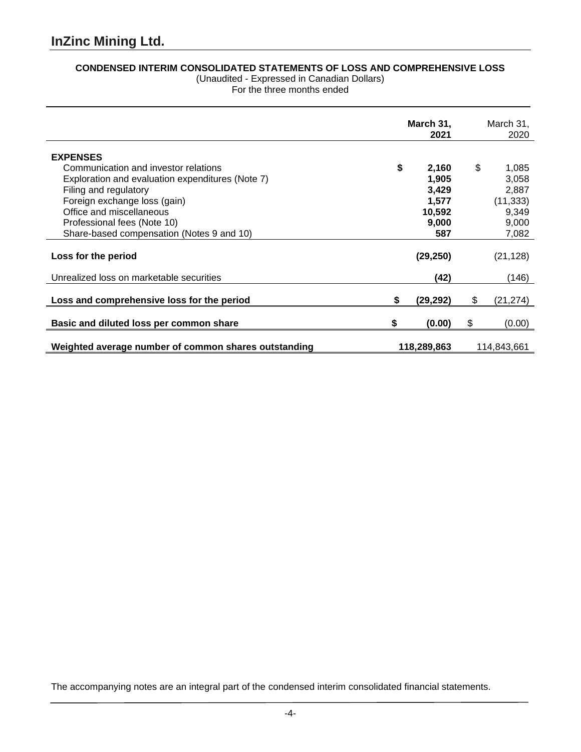# **CONDENSED INTERIM CONSOLIDATED STATEMENTS OF LOSS AND COMPREHENSIVE LOSS**

(Unaudited - Expressed in Canadian Dollars) For the three months ended

|                                                      |    | March 31,<br>2021 |    | March 31,<br>2020 |
|------------------------------------------------------|----|-------------------|----|-------------------|
| <b>EXPENSES</b>                                      |    |                   |    |                   |
| Communication and investor relations                 | \$ | 2,160             | \$ | 1,085             |
| Exploration and evaluation expenditures (Note 7)     |    | 1,905             |    | 3,058             |
| Filing and regulatory                                |    | 3,429             |    | 2,887             |
| Foreign exchange loss (gain)                         |    | 1,577             |    | (11, 333)         |
| Office and miscellaneous                             |    | 10,592            |    | 9,349             |
| Professional fees (Note 10)                          |    | 9,000             |    | 9,000             |
| Share-based compensation (Notes 9 and 10)            |    | 587               |    | 7,082             |
| Loss for the period                                  |    | (29, 250)         |    | (21, 128)         |
| Unrealized loss on marketable securities             |    | (42)              |    | (146)             |
| Loss and comprehensive loss for the period           | S  | (29, 292)         | \$ | (21, 274)         |
| Basic and diluted loss per common share              | S  | (0.00)            | S  | (0.00)            |
| Weighted average number of common shares outstanding |    | 118,289,863       |    | 114,843,661       |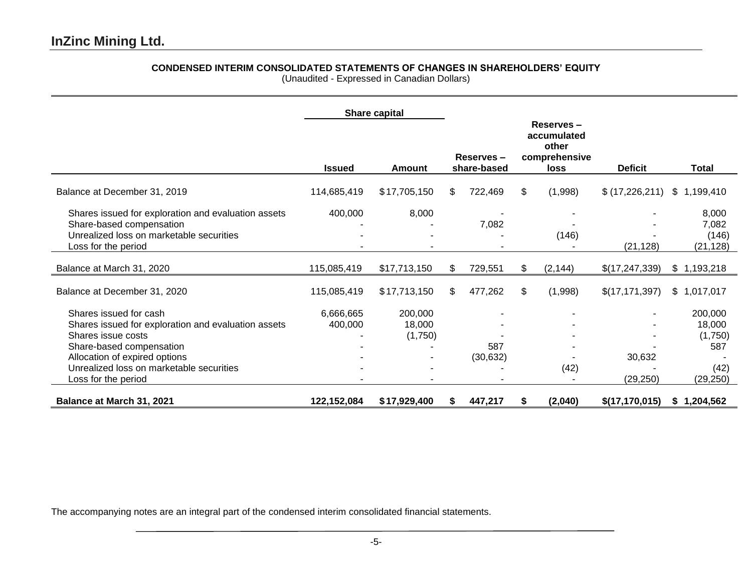# **CONDENSED INTERIM CONSOLIDATED STATEMENTS OF CHANGES IN SHAREHOLDERS' EQUITY**

(Unaudited - Expressed in Canadian Dollars)

|                                                                                                                                                                                                                                     |                      | Share capital                |     |                          |    |                                                                   |                     |                                                          |
|-------------------------------------------------------------------------------------------------------------------------------------------------------------------------------------------------------------------------------------|----------------------|------------------------------|-----|--------------------------|----|-------------------------------------------------------------------|---------------------|----------------------------------------------------------|
|                                                                                                                                                                                                                                     | <b>Issued</b>        | <b>Amount</b>                |     | Reserves-<br>share-based |    | Reserves-<br>accumulated<br>other<br>comprehensive<br><b>loss</b> | <b>Deficit</b>      | <b>Total</b>                                             |
| Balance at December 31, 2019                                                                                                                                                                                                        | 114,685,419          | \$17,705,150                 | \$. | 722,469                  | \$ | (1,998)                                                           | \$(17,226,211)      | \$<br>1,199,410                                          |
| Shares issued for exploration and evaluation assets<br>Share-based compensation<br>Unrealized loss on marketable securities<br>Loss for the period                                                                                  | 400,000              | 8,000                        |     | 7,082                    |    | (146)                                                             | (21, 128)           | 8,000<br>7,082<br>(146)<br>(21, 128)                     |
| Balance at March 31, 2020                                                                                                                                                                                                           | 115,085,419          | \$17,713,150                 |     | 729,551                  | \$ | (2, 144)                                                          | \$(17,247,339)      | \$1,193,218                                              |
| Balance at December 31, 2020                                                                                                                                                                                                        | 115,085,419          | \$17,713,150                 | \$  | 477,262                  | \$ | (1,998)                                                           | \$(17, 171, 397)    | \$1,017,017                                              |
| Shares issued for cash<br>Shares issued for exploration and evaluation assets<br>Shares issue costs<br>Share-based compensation<br>Allocation of expired options<br>Unrealized loss on marketable securities<br>Loss for the period | 6,666,665<br>400,000 | 200,000<br>18,000<br>(1,750) |     | 587<br>(30, 632)         |    | (42)                                                              | 30,632<br>(29, 250) | 200,000<br>18,000<br>(1,750)<br>587<br>(42)<br>(29, 250) |
| Balance at March 31, 2021                                                                                                                                                                                                           | 122,152,084          | \$17,929,400                 | S.  | 447,217                  | S  | (2,040)                                                           | \$(17, 170, 015)    | \$1,204,562                                              |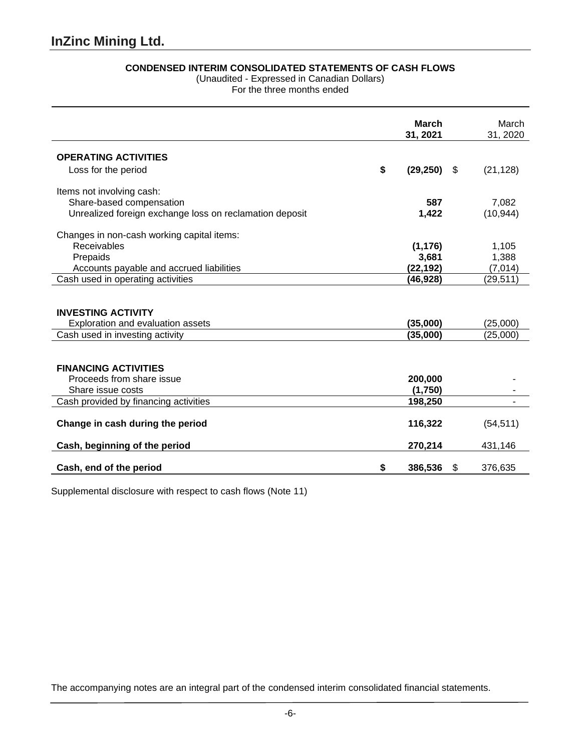## **CONDENSED INTERIM CONSOLIDATED STATEMENTS OF CASH FLOWS**

(Unaudited - Expressed in Canadian Dollars)

For the three months ended

|                                                                                                   | March<br>31, 2021    |    | March<br>31, 2020    |
|---------------------------------------------------------------------------------------------------|----------------------|----|----------------------|
| <b>OPERATING ACTIVITIES</b>                                                                       |                      |    |                      |
| Loss for the period                                                                               | \$<br>(29, 250)      | S. | (21, 128)            |
| Items not involving cash:                                                                         |                      |    |                      |
| Share-based compensation                                                                          | 587                  |    | 7,082                |
| Unrealized foreign exchange loss on reclamation deposit                                           | 1,422                |    | (10, 944)            |
| Changes in non-cash working capital items:                                                        |                      |    |                      |
| Receivables                                                                                       | (1, 176)             |    | 1,105                |
| Prepaids                                                                                          | 3,681                |    | 1,388                |
| Accounts payable and accrued liabilities                                                          | (22,192)             |    | (7,014)              |
| Cash used in operating activities                                                                 | (46,928)             |    | (29, 511)            |
| <b>INVESTING ACTIVITY</b><br>Exploration and evaluation assets<br>Cash used in investing activity | (35,000)<br>(35,000) |    | (25,000)<br>(25,000) |
|                                                                                                   |                      |    |                      |
| <b>FINANCING ACTIVITIES</b><br>Proceeds from share issue<br>Share issue costs                     | 200,000<br>(1,750)   |    |                      |
|                                                                                                   | 198,250              |    |                      |
| Cash provided by financing activities                                                             |                      |    |                      |
| Change in cash during the period                                                                  | 116,322              |    | (54, 511)            |
| Cash, beginning of the period                                                                     | 270,214              |    | 431,146              |
| Cash, end of the period                                                                           | \$<br>386,536        | \$ | 376.635              |

Supplemental disclosure with respect to cash flows (Note 11)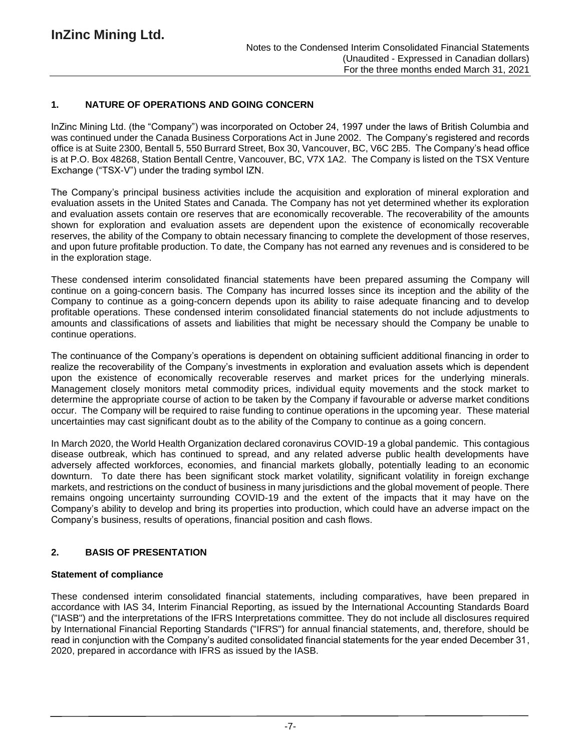## **1. NATURE OF OPERATIONS AND GOING CONCERN**

InZinc Mining Ltd. (the "Company") was incorporated on October 24, 1997 under the laws of British Columbia and was continued under the Canada Business Corporations Act in June 2002. The Company's registered and records office is at Suite 2300, Bentall 5, 550 Burrard Street, Box 30, Vancouver, BC, V6C 2B5. The Company's head office is at P.O. Box 48268, Station Bentall Centre, Vancouver, BC, V7X 1A2. The Company is listed on the TSX Venture Exchange ("TSX-V") under the trading symbol IZN.

The Company's principal business activities include the acquisition and exploration of mineral exploration and evaluation assets in the United States and Canada. The Company has not yet determined whether its exploration and evaluation assets contain ore reserves that are economically recoverable. The recoverability of the amounts shown for exploration and evaluation assets are dependent upon the existence of economically recoverable reserves, the ability of the Company to obtain necessary financing to complete the development of those reserves, and upon future profitable production. To date, the Company has not earned any revenues and is considered to be in the exploration stage.

These condensed interim consolidated financial statements have been prepared assuming the Company will continue on a going-concern basis. The Company has incurred losses since its inception and the ability of the Company to continue as a going-concern depends upon its ability to raise adequate financing and to develop profitable operations. These condensed interim consolidated financial statements do not include adjustments to amounts and classifications of assets and liabilities that might be necessary should the Company be unable to continue operations.

The continuance of the Company's operations is dependent on obtaining sufficient additional financing in order to realize the recoverability of the Company's investments in exploration and evaluation assets which is dependent upon the existence of economically recoverable reserves and market prices for the underlying minerals. Management closely monitors metal commodity prices, individual equity movements and the stock market to determine the appropriate course of action to be taken by the Company if favourable or adverse market conditions occur. The Company will be required to raise funding to continue operations in the upcoming year. These material uncertainties may cast significant doubt as to the ability of the Company to continue as a going concern.

In March 2020, the World Health Organization declared coronavirus COVID-19 a global pandemic. This contagious disease outbreak, which has continued to spread, and any related adverse public health developments have adversely affected workforces, economies, and financial markets globally, potentially leading to an economic downturn. To date there has been significant stock market volatility, significant volatility in foreign exchange markets, and restrictions on the conduct of business in many jurisdictions and the global movement of people. There remains ongoing uncertainty surrounding COVID-19 and the extent of the impacts that it may have on the Company's ability to develop and bring its properties into production, which could have an adverse impact on the Company's business, results of operations, financial position and cash flows.

## **2. BASIS OF PRESENTATION**

#### **Statement of compliance**

These condensed interim consolidated financial statements, including comparatives, have been prepared in accordance with IAS 34, Interim Financial Reporting, as issued by the International Accounting Standards Board ("IASB") and the interpretations of the IFRS Interpretations committee. They do not include all disclosures required by International Financial Reporting Standards ("IFRS") for annual financial statements, and, therefore, should be read in conjunction with the Company's audited consolidated financial statements for the year ended December 31, 2020, prepared in accordance with IFRS as issued by the IASB.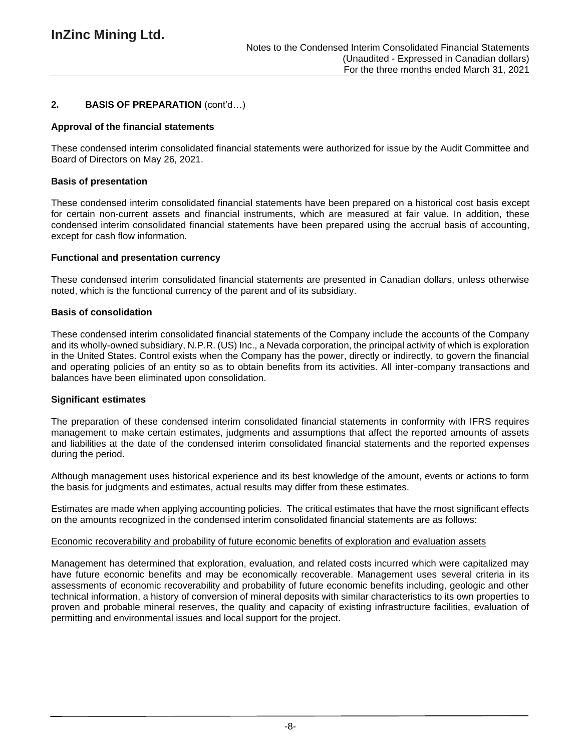## **2. BASIS OF PREPARATION** (cont'd…)

#### **Approval of the financial statements**

These condensed interim consolidated financial statements were authorized for issue by the Audit Committee and Board of Directors on May 26, 2021.

#### **Basis of presentation**

These condensed interim consolidated financial statements have been prepared on a historical cost basis except for certain non-current assets and financial instruments, which are measured at fair value. In addition, these condensed interim consolidated financial statements have been prepared using the accrual basis of accounting, except for cash flow information.

#### **Functional and presentation currency**

These condensed interim consolidated financial statements are presented in Canadian dollars, unless otherwise noted, which is the functional currency of the parent and of its subsidiary.

#### **Basis of consolidation**

These condensed interim consolidated financial statements of the Company include the accounts of the Company and its wholly-owned subsidiary, N.P.R. (US) Inc., a Nevada corporation, the principal activity of which is exploration in the United States. Control exists when the Company has the power, directly or indirectly, to govern the financial and operating policies of an entity so as to obtain benefits from its activities. All inter-company transactions and balances have been eliminated upon consolidation.

#### **Significant estimates**

The preparation of these condensed interim consolidated financial statements in conformity with IFRS requires management to make certain estimates, judgments and assumptions that affect the reported amounts of assets and liabilities at the date of the condensed interim consolidated financial statements and the reported expenses during the period.

Although management uses historical experience and its best knowledge of the amount, events or actions to form the basis for judgments and estimates, actual results may differ from these estimates.

Estimates are made when applying accounting policies. The critical estimates that have the most significant effects on the amounts recognized in the condensed interim consolidated financial statements are as follows:

#### Economic recoverability and probability of future economic benefits of exploration and evaluation assets

Management has determined that exploration, evaluation, and related costs incurred which were capitalized may have future economic benefits and may be economically recoverable. Management uses several criteria in its assessments of economic recoverability and probability of future economic benefits including, geologic and other technical information, a history of conversion of mineral deposits with similar characteristics to its own properties to proven and probable mineral reserves, the quality and capacity of existing infrastructure facilities, evaluation of permitting and environmental issues and local support for the project.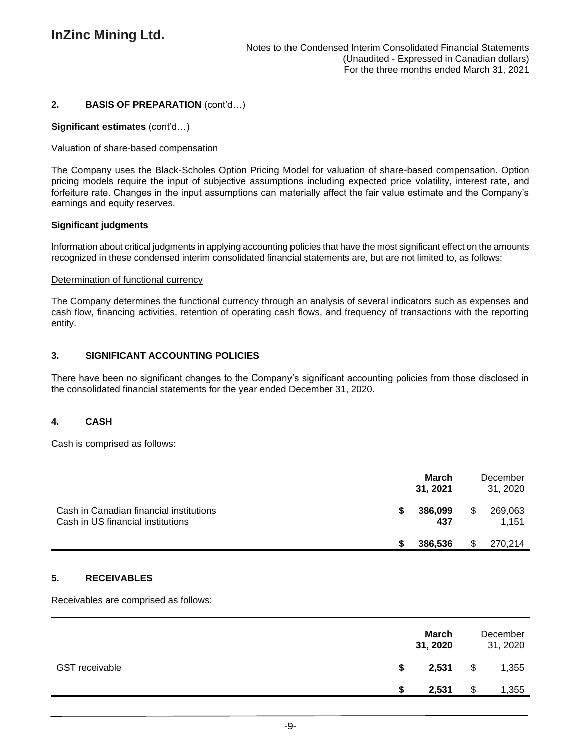## **2. BASIS OF PREPARATION** (cont'd…)

#### **Significant estimates** (cont'd…)

#### Valuation of share-based compensation

The Company uses the Black-Scholes Option Pricing Model for valuation of share-based compensation. Option pricing models require the input of subjective assumptions including expected price volatility, interest rate, and forfeiture rate. Changes in the input assumptions can materially affect the fair value estimate and the Company's earnings and equity reserves.

#### **Significant judgments**

Information about critical judgments in applying accounting policies that have the most significant effect on the amounts recognized in these condensed interim consolidated financial statements are, but are not limited to, as follows:

#### Determination of functional currency

The Company determines the functional currency through an analysis of several indicators such as expenses and cash flow, financing activities, retention of operating cash flows, and frequency of transactions with the reporting entity.

### **3. SIGNIFICANT ACCOUNTING POLICIES**

There have been no significant changes to the Company's significant accounting policies from those disclosed in the consolidated financial statements for the year ended December 31, 2020.

#### **4. CASH**

Cash is comprised as follows:

|                                                                              |   | March<br>31, 2021 | December<br>31, 2020 |
|------------------------------------------------------------------------------|---|-------------------|----------------------|
| Cash in Canadian financial institutions<br>Cash in US financial institutions | S | 386,099<br>437    | 269,063<br>1,151     |
|                                                                              |   | 386,536           | 270,214              |

#### **5. RECEIVABLES**

Receivables are comprised as follows:

|                       |   | <b>March</b><br>31, 2020 |    | December<br>31, 2020 |
|-----------------------|---|--------------------------|----|----------------------|
| <b>GST receivable</b> | S | 2,531                    | ۰D | 1,355                |
|                       | S | 2,531                    |    | 1,355                |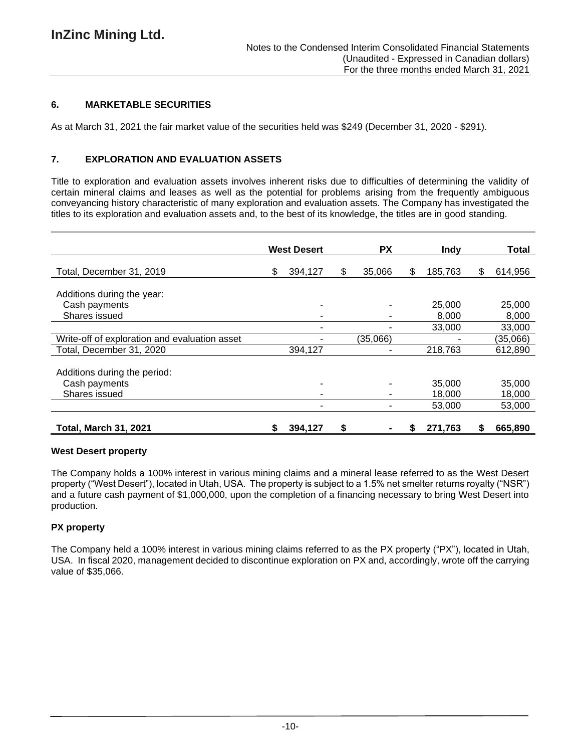## **6. MARKETABLE SECURITIES**

As at March 31, 2021 the fair market value of the securities held was \$249 (December 31, 2020 - \$291).

### **7. EXPLORATION AND EVALUATION ASSETS**

Title to exploration and evaluation assets involves inherent risks due to difficulties of determining the validity of certain mineral claims and leases as well as the potential for problems arising from the frequently ambiguous conveyancing history characteristic of many exploration and evaluation assets. The Company has investigated the titles to its exploration and evaluation assets and, to the best of its knowledge, the titles are in good standing.

|                                               | <b>West Desert</b> |   | <b>PX</b> |   | <b>Indy</b> |    | Total    |
|-----------------------------------------------|--------------------|---|-----------|---|-------------|----|----------|
| Total, December 31, 2019                      | \$<br>394,127      | S | 35,066    | S | 185,763     | \$ | 614,956  |
| Additions during the year:                    |                    |   |           |   |             |    |          |
| Cash payments                                 |                    |   |           |   | 25,000      |    | 25,000   |
| Shares issued                                 |                    |   |           |   | 8,000       |    | 8,000    |
|                                               |                    |   |           |   | 33,000      |    | 33,000   |
| Write-off of exploration and evaluation asset |                    |   | (35,066)  |   |             |    | (35,066) |
| Total, December 31, 2020                      | 394,127            |   |           |   | 218,763     |    | 612,890  |
| Additions during the period:                  |                    |   |           |   |             |    |          |
| Cash payments                                 |                    |   |           |   | 35,000      |    | 35,000   |
| Shares issued                                 |                    |   |           |   | 18,000      |    | 18,000   |
|                                               |                    |   |           |   | 53,000      |    | 53,000   |
| <b>Total, March 31, 2021</b>                  | \$<br>394,127      | S |           |   | 271,763     | S  | 665,890  |

#### **West Desert property**

The Company holds a 100% interest in various mining claims and a mineral lease referred to as the West Desert property ("West Desert"), located in Utah, USA. The property is subject to a 1.5% net smelter returns royalty ("NSR") and a future cash payment of \$1,000,000, upon the completion of a financing necessary to bring West Desert into production.

## **PX property**

The Company held a 100% interest in various mining claims referred to as the PX property ("PX"), located in Utah, USA. In fiscal 2020, management decided to discontinue exploration on PX and, accordingly, wrote off the carrying value of \$35,066.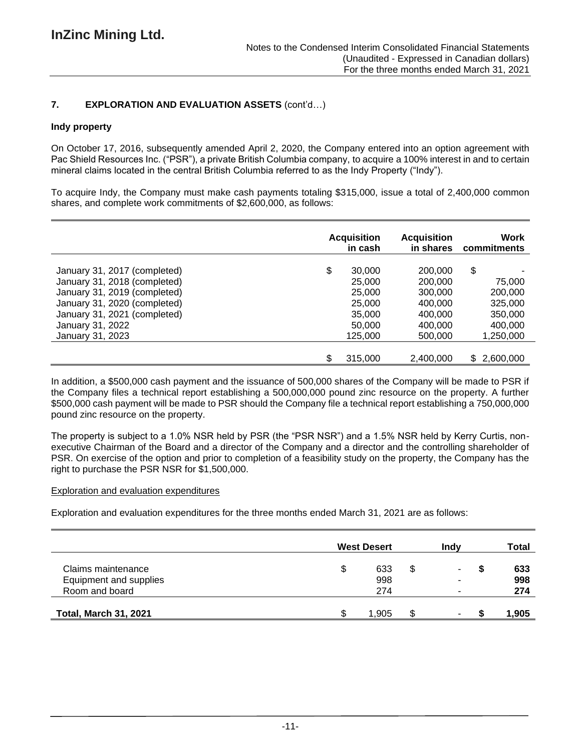## **7. EXPLORATION AND EVALUATION ASSETS** (cont'd…)

### **Indy property**

On October 17, 2016, subsequently amended April 2, 2020, the Company entered into an option agreement with Pac Shield Resources Inc. ("PSR"), a private British Columbia company, to acquire a 100% interest in and to certain mineral claims located in the central British Columbia referred to as the Indy Property ("Indy").

To acquire Indy, the Company must make cash payments totaling \$315,000, issue a total of 2,400,000 common shares, and complete work commitments of \$2,600,000, as follows:

|                              | <b>Acquisition</b><br>in cash |           | Work<br>commitments |
|------------------------------|-------------------------------|-----------|---------------------|
| January 31, 2017 (completed) | \$<br>30,000                  | 200,000   | \$                  |
| January 31, 2018 (completed) | 25,000                        | 200,000   | 75,000              |
| January 31, 2019 (completed) | 25,000                        | 300,000   | 200,000             |
| January 31, 2020 (completed) | 25,000                        | 400,000   | 325,000             |
| January 31, 2021 (completed) | 35,000                        | 400,000   | 350,000             |
| January 31, 2022             | 50,000                        | 400,000   | 400,000             |
| January 31, 2023             | 125,000                       | 500,000   | 1,250,000           |
|                              | \$<br>315,000                 | 2,400,000 | \$2,600,000         |

In addition, a \$500,000 cash payment and the issuance of 500,000 shares of the Company will be made to PSR if the Company files a technical report establishing a 500,000,000 pound zinc resource on the property. A further \$500,000 cash payment will be made to PSR should the Company file a technical report establishing a 750,000,000 pound zinc resource on the property.

The property is subject to a 1.0% NSR held by PSR (the "PSR NSR") and a 1.5% NSR held by Kerry Curtis, nonexecutive Chairman of the Board and a director of the Company and a director and the controlling shareholder of PSR. On exercise of the option and prior to completion of a feasibility study on the property, the Company has the right to purchase the PSR NSR for \$1,500,000.

#### Exploration and evaluation expenditures

Exploration and evaluation expenditures for the three months ended March 31, 2021 are as follows:

|                              |   | <b>West Desert</b> | Indv     |   | Total |
|------------------------------|---|--------------------|----------|---|-------|
| Claims maintenance           | S | 633                | \$<br>۰. | S | 633   |
| Equipment and supplies       |   | 998                |          |   | 998   |
| Room and board               |   | 274                |          |   | 274   |
| <b>Total, March 31, 2021</b> |   | 1.905              | -        |   | 1,905 |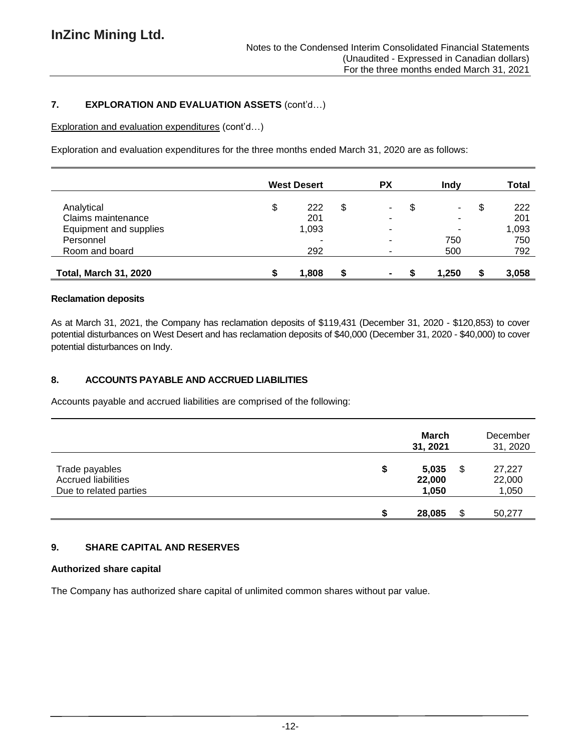## **7. EXPLORATION AND EVALUATION ASSETS** (cont'd…)

Exploration and evaluation expenditures (cont'd…)

Exploration and evaluation expenditures for the three months ended March 31, 2020 are as follows:

|                              | <b>West Desert</b> |   | PХ | Indv  | <b>Total</b> |
|------------------------------|--------------------|---|----|-------|--------------|
| Analytical                   | \$<br>222          | S |    | \$    | \$<br>222    |
| Claims maintenance           | 201                |   | ۰  | ۰.    | 201          |
| Equipment and supplies       | 1,093              |   |    | -     | 1,093        |
| Personnel                    |                    |   | ۰  | 750   | 750          |
| Room and board               | 292                |   | ۰  | 500   | 792          |
| <b>Total, March 31, 2020</b> | 1,808              |   | ۰  | 1.250 | 3,058        |

#### **Reclamation deposits**

As at March 31, 2021, the Company has reclamation deposits of \$119,431 (December 31, 2020 - \$120,853) to cover potential disturbances on West Desert and has reclamation deposits of \$40,000 (December 31, 2020 - \$40,000) to cover potential disturbances on Indy.

### **8. ACCOUNTS PAYABLE AND ACCRUED LIABILITIES**

Accounts payable and accrued liabilities are comprised of the following:

|                                                                        |   | March<br>31, 2021        |    | December<br>31, 2020      |
|------------------------------------------------------------------------|---|--------------------------|----|---------------------------|
| Trade payables<br><b>Accrued liabilities</b><br>Due to related parties | S | 5,035<br>22,000<br>1,050 | \$ | 27,227<br>22,000<br>1,050 |
|                                                                        |   | 28,085                   | S  | 50,277                    |

## **9. SHARE CAPITAL AND RESERVES**

#### **Authorized share capital**

The Company has authorized share capital of unlimited common shares without par value.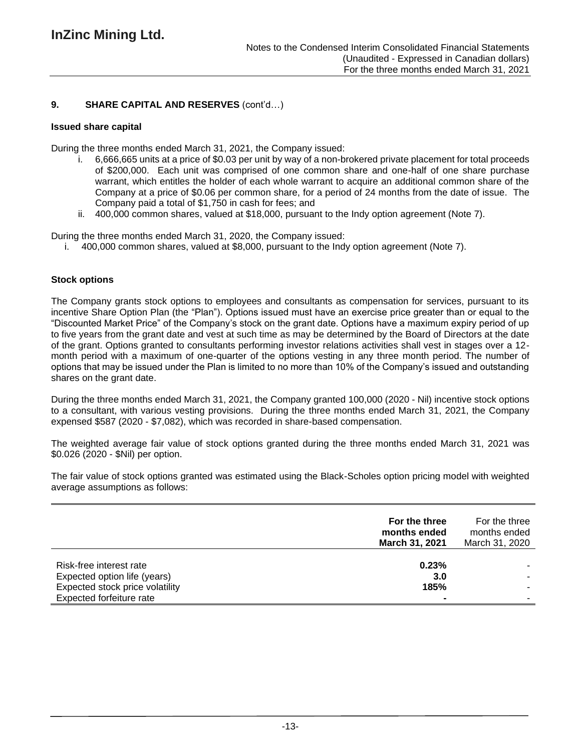## **9. SHARE CAPITAL AND RESERVES** (cont'd…)

### **Issued share capital**

During the three months ended March 31, 2021, the Company issued:

- i. 6,666,665 units at a price of \$0.03 per unit by way of a non-brokered private placement for total proceeds of \$200,000. Each unit was comprised of one common share and one-half of one share purchase warrant, which entitles the holder of each whole warrant to acquire an additional common share of the Company at a price of \$0.06 per common share, for a period of 24 months from the date of issue. The Company paid a total of \$1,750 in cash for fees; and
- ii. 400,000 common shares, valued at \$18,000, pursuant to the Indy option agreement (Note 7).

During the three months ended March 31, 2020, the Company issued:

i. 400,000 common shares, valued at \$8,000, pursuant to the Indy option agreement (Note 7).

## **Stock options**

The Company grants stock options to employees and consultants as compensation for services, pursuant to its incentive Share Option Plan (the "Plan"). Options issued must have an exercise price greater than or equal to the "Discounted Market Price" of the Company's stock on the grant date. Options have a maximum expiry period of up to five years from the grant date and vest at such time as may be determined by the Board of Directors at the date of the grant. Options granted to consultants performing investor relations activities shall vest in stages over a 12 month period with a maximum of one-quarter of the options vesting in any three month period. The number of options that may be issued under the Plan is limited to no more than 10% of the Company's issued and outstanding shares on the grant date.

During the three months ended March 31, 2021, the Company granted 100,000 (2020 - Nil) incentive stock options to a consultant, with various vesting provisions. During the three months ended March 31, 2021, the Company expensed \$587 (2020 - \$7,082), which was recorded in share-based compensation.

The weighted average fair value of stock options granted during the three months ended March 31, 2021 was \$0.026 (2020 - \$Nil) per option.

The fair value of stock options granted was estimated using the Black-Scholes option pricing model with weighted average assumptions as follows:

|                                                             | For the three<br>months ended<br>March 31, 2021 | For the three<br>months ended<br>March 31, 2020 |
|-------------------------------------------------------------|-------------------------------------------------|-------------------------------------------------|
| Risk-free interest rate<br>Expected option life (years)     | 0.23%<br>3.0                                    |                                                 |
| Expected stock price volatility<br>Expected forfeiture rate | 185%                                            |                                                 |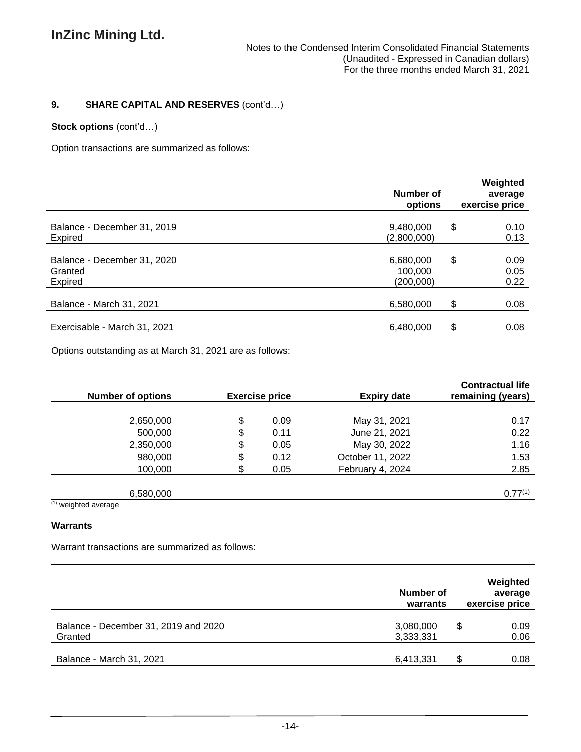# **9. SHARE CAPITAL AND RESERVES** (cont'd…)

## **Stock options** (cont'd…)

Option transactions are summarized as follows:

|                                                   | Number of<br>options              | Weighted<br>average<br>exercise price |
|---------------------------------------------------|-----------------------------------|---------------------------------------|
| Balance - December 31, 2019<br>Expired            | 9,480,000<br>(2,800,000)          | \$<br>0.10<br>0.13                    |
| Balance - December 31, 2020<br>Granted<br>Expired | 6,680,000<br>100,000<br>(200,000) | \$<br>0.09<br>0.05<br>0.22            |
| Balance - March 31, 2021                          | 6,580,000                         | \$<br>0.08                            |
| Exercisable - March 31, 2021                      | 6,480,000                         | \$<br>0.08                            |

Options outstanding as at March 31, 2021 are as follows:

| <b>Number of options</b>         |    | <b>Exercise price</b> | <b>Expiry date</b> | <b>Contractual life</b><br>remaining (years) |
|----------------------------------|----|-----------------------|--------------------|----------------------------------------------|
|                                  |    |                       |                    |                                              |
| 2,650,000                        | \$ | 0.09                  | May 31, 2021       | 0.17                                         |
| 500,000                          | \$ | 0.11                  | June 21, 2021      | 0.22                                         |
| 2,350,000                        | \$ | 0.05                  | May 30, 2022       | 1.16                                         |
| 980,000                          | \$ | 0.12                  | October 11, 2022   | 1.53                                         |
| 100,000                          | S. | 0.05                  | February 4, 2024   | 2.85                                         |
|                                  |    |                       |                    |                                              |
| 6,580,000                        |    |                       |                    | $0.77^{(1)}$                                 |
| $(4)$ $\cdots$ $\cdots$ $\cdots$ |    |                       |                    |                                              |

(1) weighted average

### **Warrants**

Warrant transactions are summarized as follows:

|                                                 | Number of<br>warrants  | Weighted<br>average<br>exercise price |
|-------------------------------------------------|------------------------|---------------------------------------|
| Balance - December 31, 2019 and 2020<br>Granted | 3,080,000<br>3,333,331 | S<br>0.09<br>0.06                     |
| Balance - March 31, 2021                        | 6,413,331              | 0.08<br>S                             |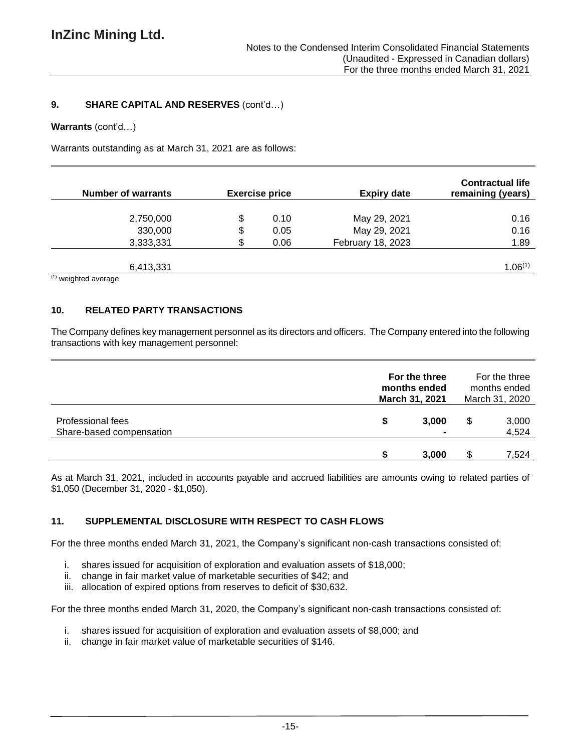### **9. SHARE CAPITAL AND RESERVES** (cont'd…)

#### **Warrants** (cont'd…)

Warrants outstanding as at March 31, 2021 are as follows:

| <b>Number of warrants</b> | <b>Exercise price</b> | <b>Expiry date</b> | <b>Contractual life</b><br>remaining (years) |
|---------------------------|-----------------------|--------------------|----------------------------------------------|
|                           |                       |                    |                                              |
| 2,750,000                 | \$<br>0.10            | May 29, 2021       | 0.16                                         |
| 330,000                   | \$<br>0.05            | May 29, 2021       | 0.16                                         |
| 3,333,331                 | \$<br>0.06            | February 18, 2023  | 1.89                                         |
|                           |                       |                    |                                              |
| 6,413,331                 |                       |                    | 1.06(1)                                      |

 $(1)$  weighted average

## **10. RELATED PARTY TRANSACTIONS**

The Company defines key management personnel as its directors and officers. The Company entered into the following transactions with key management personnel:

|                                               |   | For the three<br>months ended<br>March 31, 2021 | For the three<br>months ended<br>March 31, 2020 |                |
|-----------------------------------------------|---|-------------------------------------------------|-------------------------------------------------|----------------|
| Professional fees<br>Share-based compensation | S | 3,000                                           | \$                                              | 3,000<br>4,524 |
|                                               |   | 3,000                                           |                                                 | 7,524          |

As at March 31, 2021, included in accounts payable and accrued liabilities are amounts owing to related parties of \$1,050 (December 31, 2020 - \$1,050).

## **11. SUPPLEMENTAL DISCLOSURE WITH RESPECT TO CASH FLOWS**

For the three months ended March 31, 2021, the Company's significant non-cash transactions consisted of:

- i. shares issued for acquisition of exploration and evaluation assets of \$18,000;
- ii. change in fair market value of marketable securities of \$42; and
- iii. allocation of expired options from reserves to deficit of \$30,632.

For the three months ended March 31, 2020, the Company's significant non-cash transactions consisted of:

- i. shares issued for acquisition of exploration and evaluation assets of \$8,000; and
- ii. change in fair market value of marketable securities of \$146.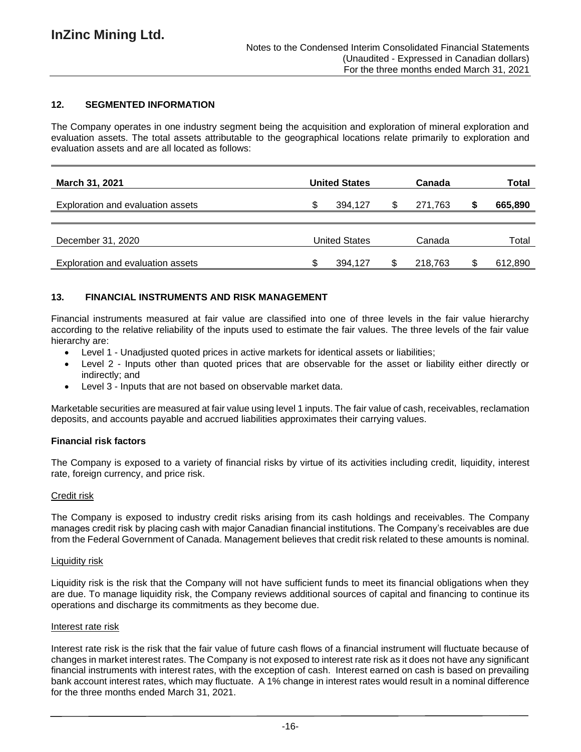## **12. SEGMENTED INFORMATION**

The Company operates in one industry segment being the acquisition and exploration of mineral exploration and evaluation assets. The total assets attributable to the geographical locations relate primarily to exploration and evaluation assets and are all located as follows:

| <b>March 31, 2021</b>                    |    | <b>United States</b> | Canada  | Total   |
|------------------------------------------|----|----------------------|---------|---------|
| Exploration and evaluation assets        | S  | 394.127              | 271.763 | 665,890 |
| December 31, 2020                        |    | <b>United States</b> | Canada  | Total   |
| <b>Exploration and evaluation assets</b> | £. | 394,127              | 218,763 | 612,890 |

### **13. FINANCIAL INSTRUMENTS AND RISK MANAGEMENT**

Financial instruments measured at fair value are classified into one of three levels in the fair value hierarchy according to the relative reliability of the inputs used to estimate the fair values. The three levels of the fair value hierarchy are:

- Level 1 Unadjusted quoted prices in active markets for identical assets or liabilities;
- Level 2 Inputs other than quoted prices that are observable for the asset or liability either directly or indirectly; and
- Level 3 Inputs that are not based on observable market data.

Marketable securities are measured at fair value using level 1 inputs. The fair value of cash, receivables, reclamation deposits, and accounts payable and accrued liabilities approximates their carrying values.

#### **Financial risk factors**

The Company is exposed to a variety of financial risks by virtue of its activities including credit, liquidity, interest rate, foreign currency, and price risk.

#### Credit risk

The Company is exposed to industry credit risks arising from its cash holdings and receivables. The Company manages credit risk by placing cash with major Canadian financial institutions. The Company's receivables are due from the Federal Government of Canada. Management believes that credit risk related to these amounts is nominal.

#### Liquidity risk

Liquidity risk is the risk that the Company will not have sufficient funds to meet its financial obligations when they are due. To manage liquidity risk, the Company reviews additional sources of capital and financing to continue its operations and discharge its commitments as they become due.

#### Interest rate risk

Interest rate risk is the risk that the fair value of future cash flows of a financial instrument will fluctuate because of changes in market interest rates. The Company is not exposed to interest rate risk as it does not have any significant financial instruments with interest rates, with the exception of cash. Interest earned on cash is based on prevailing bank account interest rates, which may fluctuate. A 1% change in interest rates would result in a nominal difference for the three months ended March 31, 2021.